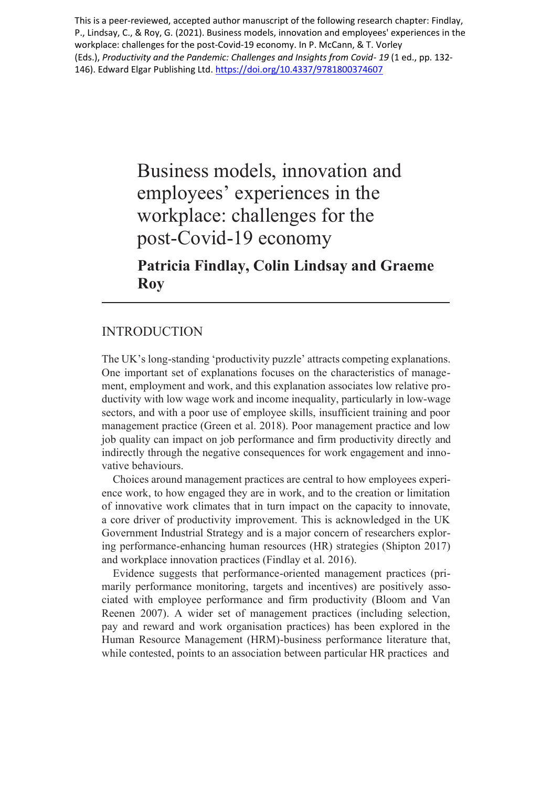This is a peer-reviewed, accepted author manuscript of the following research chapter: Findlay, P., Lindsay, C., & Roy, G. (2021). Business models, innovation and employees' experiences in the workplace: challenges for the post-Covid-19 economy. In P. McCann, & T. Vorley (Eds.), *Productivity and the Pandemic: Challenges and Insights from Covid- 19* (1 ed., pp. 132 146). Edward Elgar Publishing Ltd. <https://doi.org/10.4337/9781800374607>

> Business models, innovation and employees' experiences in the workplace: challenges for the post-Covid-19 economy **Patricia Findlay, Colin Lindsay and Graeme**

# **Roy**

# INTRODUCTION

The UK's long-standing 'productivity puzzle' attracts competing explanations. One important set of explanations focuses on the characteristics of management, employment and work, and this explanation associates low relative productivity with low wage work and income inequality, particularly in low-wage sectors, and with a poor use of employee skills, insufficient training and poor management practice (Green et al. 2018). Poor management practice and low job quality can impact on job performance and firm productivity directly and indirectly through the negative consequences for work engagement and innovative behaviours.

Choices around management practices are central to how employees experience work, to how engaged they are in work, and to the creation or limitation of innovative work climates that in turn impact on the capacity to innovate, a core driver of productivity improvement. This is acknowledged in the UK Government Industrial Strategy and is a major concern of researchers exploring performance-enhancing human resources (HR) strategies (Shipton 2017) and workplace innovation practices (Findlay et al. 2016).

Evidence suggests that performance-oriented management practices (primarily performance monitoring, targets and incentives) are positively associated with employee performance and firm productivity (Bloom and Van Reenen 2007). A wider set of management practices (including selection, pay and reward and work organisation practices) has been explored in the Human Resource Management (HRM)-business performance literature that, while contested, points to an association between particular HR practices and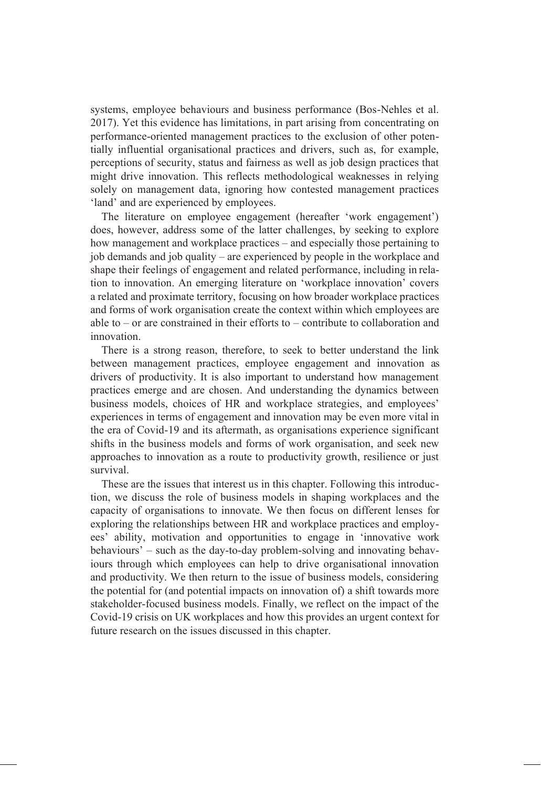systems, employee behaviours and business performance (Bos-Nehles et al. 2017). Yet this evidence has limitations, in part arising from concentrating on performance-oriented management practices to the exclusion of other potentially influential organisational practices and drivers, such as, for example, perceptions of security, status and fairness as well as job design practices that might drive innovation. This reflects methodological weaknesses in relying solely on management data, ignoring how contested management practices 'land' and are experienced by employees.

The literature on employee engagement (hereafter 'work engagement') does, however, address some of the latter challenges, by seeking to explore how management and workplace practices – and especially those pertaining to job demands and job quality – are experienced by people in the workplace and shape their feelings of engagement and related performance, including in relation to innovation. An emerging literature on 'workplace innovation' covers a related and proximate territory, focusing on how broader workplace practices and forms of work organisation create the context within which employees are able to – or are constrained in their efforts to – contribute to collaboration and innovation.

There is a strong reason, therefore, to seek to better understand the link between management practices, employee engagement and innovation as drivers of productivity. It is also important to understand how management practices emerge and are chosen. And understanding the dynamics between business models, choices of HR and workplace strategies, and employees' experiences in terms of engagement and innovation may be even more vital in the era of Covid-19 and its aftermath, as organisations experience significant shifts in the business models and forms of work organisation, and seek new approaches to innovation as a route to productivity growth, resilience or just survival.

These are the issues that interest us in this chapter. Following this introduction, we discuss the role of business models in shaping workplaces and the capacity of organisations to innovate. We then focus on different lenses for exploring the relationships between HR and workplace practices and employees' ability, motivation and opportunities to engage in 'innovative work behaviours' – such as the day-to-day problem-solving and innovating behaviours through which employees can help to drive organisational innovation and productivity. We then return to the issue of business models, considering the potential for (and potential impacts on innovation of) a shift towards more stakeholder-focused business models. Finally, we reflect on the impact of the Covid-19 crisis on UK workplaces and how this provides an urgent context for future research on the issues discussed in this chapter.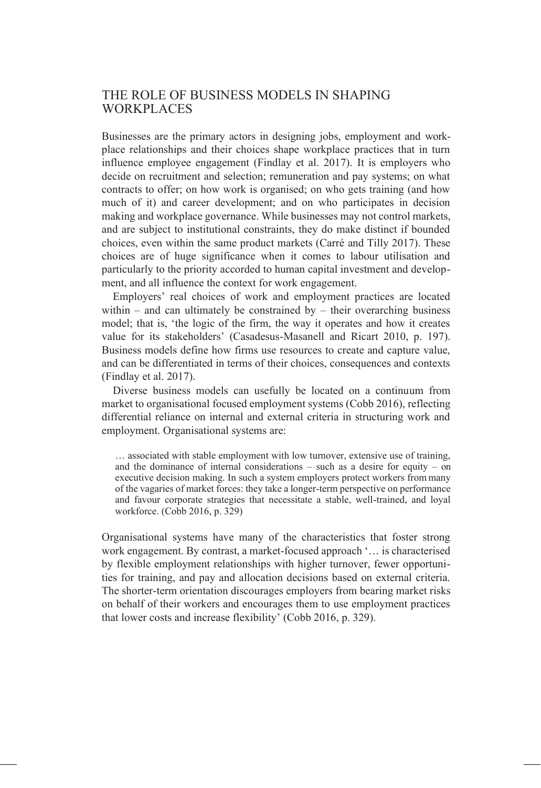## THE ROLE OF BUSINESS MODELS IN SHAPING WORKPLACES

Businesses are the primary actors in designing jobs, employment and workplace relationships and their choices shape workplace practices that in turn influence employee engagement (Findlay et al. 2017). It is employers who decide on recruitment and selection; remuneration and pay systems; on what contracts to offer; on how work is organised; on who gets training (and how much of it) and career development; and on who participates in decision making and workplace governance. While businesses may not control markets, and are subject to institutional constraints, they do make distinct if bounded choices, even within the same product markets (Carré and Tilly 2017). These choices are of huge significance when it comes to labour utilisation and particularly to the priority accorded to human capital investment and development, and all influence the context for work engagement.

Employers' real choices of work and employment practices are located within – and can ultimately be constrained by – their overarching business model; that is, 'the logic of the firm, the way it operates and how it creates value for its stakeholders' (Casadesus-Masanell and Ricart 2010, p. 197). Business models define how firms use resources to create and capture value, and can be differentiated in terms of their choices, consequences and contexts (Findlay et al. 2017).

Diverse business models can usefully be located on a continuum from market to organisational focused employment systems (Cobb 2016), reflecting differential reliance on internal and external criteria in structuring work and employment. Organisational systems are:

… associated with stable employment with low turnover, extensive use of training, and the dominance of internal considerations – such as a desire for equity – on executive decision making. In such a system employers protect workers from many of the vagaries of market forces: they take a longer-term perspective on performance and favour corporate strategies that necessitate a stable, well-trained, and loyal workforce. (Cobb 2016, p. 329)

Organisational systems have many of the characteristics that foster strong work engagement. By contrast, a market-focused approach '… is characterised by flexible employment relationships with higher turnover, fewer opportunities for training, and pay and allocation decisions based on external criteria. The shorter-term orientation discourages employers from bearing market risks on behalf of their workers and encourages them to use employment practices that lower costs and increase flexibility' (Cobb 2016, p. 329).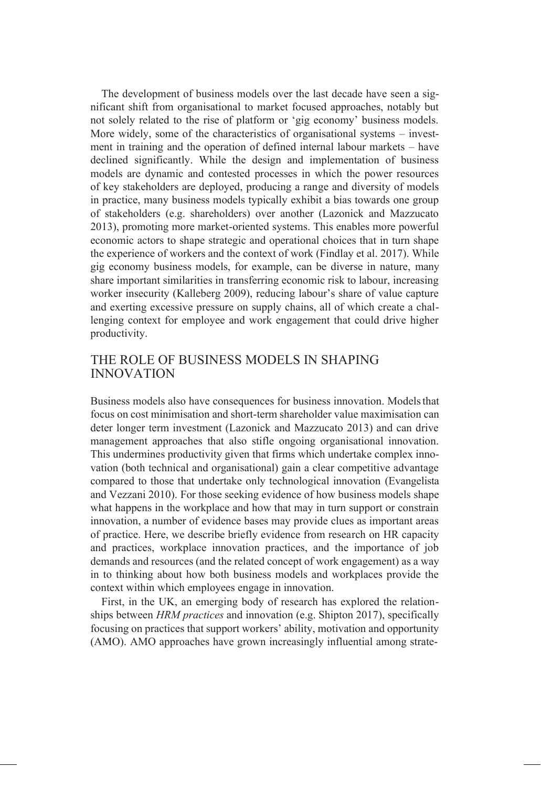The development of business models over the last decade have seen a significant shift from organisational to market focused approaches, notably but not solely related to the rise of platform or 'gig economy' business models. More widely, some of the characteristics of organisational systems – investment in training and the operation of defined internal labour markets – have declined significantly. While the design and implementation of business models are dynamic and contested processes in which the power resources of key stakeholders are deployed, producing a range and diversity of models in practice, many business models typically exhibit a bias towards one group of stakeholders (e.g. shareholders) over another (Lazonick and Mazzucato 2013), promoting more market-oriented systems. This enables more powerful economic actors to shape strategic and operational choices that in turn shape the experience of workers and the context of work (Findlay et al. 2017). While gig economy business models, for example, can be diverse in nature, many share important similarities in transferring economic risk to labour, increasing worker insecurity (Kalleberg 2009), reducing labour's share of value capture and exerting excessive pressure on supply chains, all of which create a challenging context for employee and work engagement that could drive higher productivity.

#### THE ROLE OF BUSINESS MODELS IN SHAPING INNOVATION

Business models also have consequences for business innovation. Models that focus on cost minimisation and short-term shareholder value maximisation can deter longer term investment (Lazonick and Mazzucato 2013) and can drive management approaches that also stifle ongoing organisational innovation. This undermines productivity given that firms which undertake complex innovation (both technical and organisational) gain a clear competitive advantage compared to those that undertake only technological innovation (Evangelista and Vezzani 2010). For those seeking evidence of how business models shape what happens in the workplace and how that may in turn support or constrain innovation, a number of evidence bases may provide clues as important areas of practice. Here, we describe briefly evidence from research on HR capacity and practices, workplace innovation practices, and the importance of job demands and resources (and the related concept of work engagement) as a way in to thinking about how both business models and workplaces provide the context within which employees engage in innovation.

First, in the UK, an emerging body of research has explored the relationships between *HRM practices* and innovation (e.g. Shipton 2017), specifically focusing on practices that support workers' ability, motivation and opportunity (AMO). AMO approaches have grown increasingly influential among strate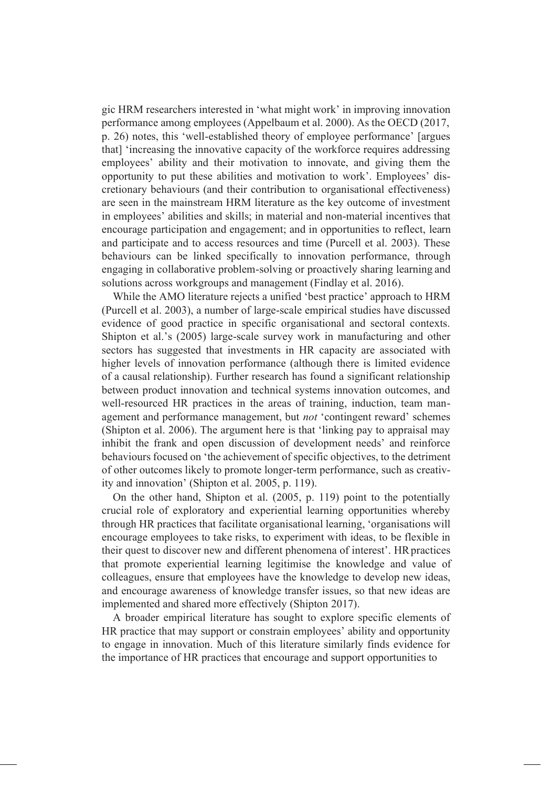gic HRM researchers interested in 'what might work' in improving innovation performance among employees (Appelbaum et al. 2000). As the OECD (2017, p. 26) notes, this 'well-established theory of employee performance' [argues that] 'increasing the innovative capacity of the workforce requires addressing employees' ability and their motivation to innovate, and giving them the opportunity to put these abilities and motivation to work'. Employees' discretionary behaviours (and their contribution to organisational effectiveness) are seen in the mainstream HRM literature as the key outcome of investment in employees' abilities and skills; in material and non-material incentives that encourage participation and engagement; and in opportunities to reflect, learn and participate and to access resources and time (Purcell et al. 2003). These behaviours can be linked specifically to innovation performance, through engaging in collaborative problem-solving or proactively sharing learning and solutions across workgroups and management (Findlay et al. 2016).

While the AMO literature rejects a unified 'best practice' approach to HRM (Purcell et al. 2003), a number of large-scale empirical studies have discussed evidence of good practice in specific organisational and sectoral contexts. Shipton et al.'s (2005) large-scale survey work in manufacturing and other sectors has suggested that investments in HR capacity are associated with higher levels of innovation performance (although there is limited evidence of a causal relationship). Further research has found a significant relationship between product innovation and technical systems innovation outcomes, and well-resourced HR practices in the areas of training, induction, team management and performance management, but *not* 'contingent reward' schemes (Shipton et al. 2006). The argument here is that 'linking pay to appraisal may inhibit the frank and open discussion of development needs' and reinforce behaviours focused on 'the achievement of specific objectives, to the detriment of other outcomes likely to promote longer-term performance, such as creativity and innovation' (Shipton et al. 2005, p. 119).

On the other hand, Shipton et al. (2005, p. 119) point to the potentially crucial role of exploratory and experiential learning opportunities whereby through HR practices that facilitate organisational learning, 'organisations will encourage employees to take risks, to experiment with ideas, to be flexible in their quest to discover new and different phenomena of interest'. HR practices that promote experiential learning legitimise the knowledge and value of colleagues, ensure that employees have the knowledge to develop new ideas, and encourage awareness of knowledge transfer issues, so that new ideas are implemented and shared more effectively (Shipton 2017).

A broader empirical literature has sought to explore specific elements of HR practice that may support or constrain employees' ability and opportunity to engage in innovation. Much of this literature similarly finds evidence for the importance of HR practices that encourage and support opportunities to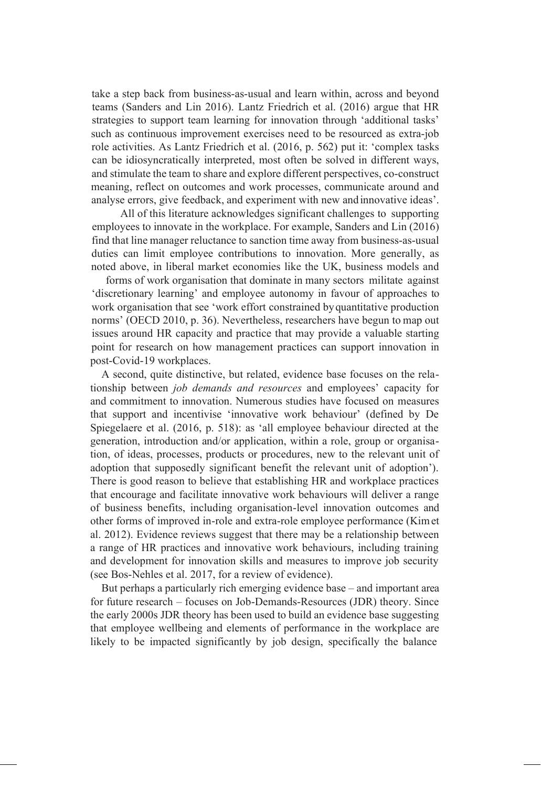take a step back from business-as-usual and learn within, across and beyond teams (Sanders and Lin 2016). Lantz Friedrich et al. (2016) argue that HR strategies to support team learning for innovation through 'additional tasks' such as continuous improvement exercises need to be resourced as extra-job role activities. As Lantz Friedrich et al. (2016, p. 562) put it: 'complex tasks can be idiosyncratically interpreted, most often be solved in different ways, and stimulate the team to share and explore different perspectives, co-construct meaning, reflect on outcomes and work processes, communicate around and analyse errors, give feedback, and experiment with new and innovative ideas'.

All of this literature acknowledges significant challenges to supporting employees to innovate in the workplace. For example, Sanders and Lin (2016) find that line manager reluctance to sanction time away from business-as-usual duties can limit employee contributions to innovation. More generally, as noted above, in liberal market economies like the UK, business models and

forms of work organisation that dominate in many sectors militate against 'discretionary learning' and employee autonomy in favour of approaches to work organisation that see 'work effort constrained byquantitative production norms' (OECD 2010, p. 36). Nevertheless, researchers have begun to map out issues around HR capacity and practice that may provide a valuable starting point for research on how management practices can support innovation in post-Covid-19 workplaces.

A second, quite distinctive, but related, evidence base focuses on the relationship between *job demands and resources* and employees' capacity for and commitment to innovation. Numerous studies have focused on measures that support and incentivise 'innovative work behaviour' (defined by De Spiegelaere et al. (2016, p. 518): as 'all employee behaviour directed at the generation, introduction and/or application, within a role, group or organisation, of ideas, processes, products or procedures, new to the relevant unit of adoption that supposedly significant benefit the relevant unit of adoption'). There is good reason to believe that establishing HR and workplace practices that encourage and facilitate innovative work behaviours will deliver a range of business benefits, including organisation-level innovation outcomes and other forms of improved in-role and extra-role employee performance (Kimet al. 2012). Evidence reviews suggest that there may be a relationship between a range of HR practices and innovative work behaviours, including training and development for innovation skills and measures to improve job security (see Bos-Nehles et al. 2017, for a review of evidence).

But perhaps a particularly rich emerging evidence base – and important area for future research – focuses on Job-Demands-Resources (JDR) theory. Since the early 2000s JDR theory has been used to build an evidence base suggesting that employee wellbeing and elements of performance in the workplace are likely to be impacted significantly by job design, specifically the balance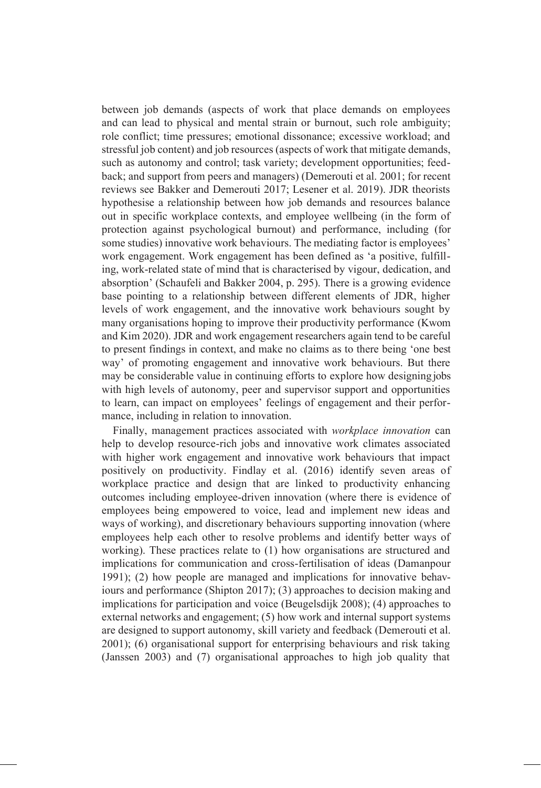between job demands (aspects of work that place demands on employees and can lead to physical and mental strain or burnout, such role ambiguity; role conflict; time pressures; emotional dissonance; excessive workload; and stressful job content) and job resources (aspects of work that mitigate demands, such as autonomy and control; task variety; development opportunities; feedback; and support from peers and managers) (Demerouti et al. 2001; for recent reviews see Bakker and Demerouti 2017; Lesener et al. 2019). JDR theorists hypothesise a relationship between how job demands and resources balance out in specific workplace contexts, and employee wellbeing (in the form of protection against psychological burnout) and performance, including (for some studies) innovative work behaviours. The mediating factor is employees' work engagement. Work engagement has been defined as 'a positive, fulfilling, work-related state of mind that is characterised by vigour, dedication, and absorption' (Schaufeli and Bakker 2004, p. 295). There is a growing evidence base pointing to a relationship between different elements of JDR, higher levels of work engagement, and the innovative work behaviours sought by many organisations hoping to improve their productivity performance (Kwom and Kim 2020). JDR and work engagement researchers again tend to be careful to present findings in context, and make no claims as to there being 'one best way' of promoting engagement and innovative work behaviours. But there may be considerable value in continuing efforts to explore how designing jobs with high levels of autonomy, peer and supervisor support and opportunities to learn, can impact on employees' feelings of engagement and their performance, including in relation to innovation.

Finally, management practices associated with *workplace innovation* can help to develop resource-rich jobs and innovative work climates associated with higher work engagement and innovative work behaviours that impact positively on productivity. Findlay et al. (2016) identify seven areas of workplace practice and design that are linked to productivity enhancing outcomes including employee-driven innovation (where there is evidence of employees being empowered to voice, lead and implement new ideas and ways of working), and discretionary behaviours supporting innovation (where employees help each other to resolve problems and identify better ways of working). These practices relate to (1) how organisations are structured and implications for communication and cross-fertilisation of ideas (Damanpour 1991); (2) how people are managed and implications for innovative behaviours and performance (Shipton 2017); (3) approaches to decision making and implications for participation and voice (Beugelsdijk 2008); (4) approaches to external networks and engagement; (5) how work and internal support systems are designed to support autonomy, skill variety and feedback (Demerouti et al. 2001); (6) organisational support for enterprising behaviours and risk taking (Janssen 2003) and (7) organisational approaches to high job quality that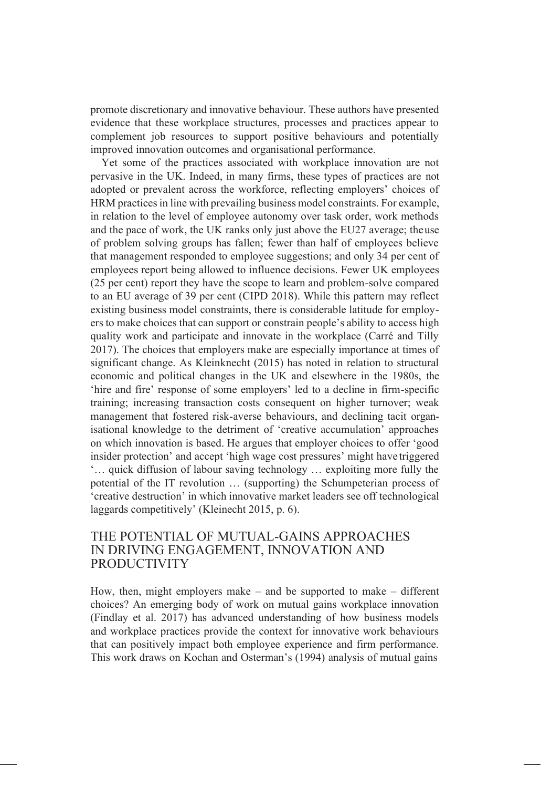promote discretionary and innovative behaviour. These authors have presented evidence that these workplace structures, processes and practices appear to complement job resources to support positive behaviours and potentially improved innovation outcomes and organisational performance.

Yet some of the practices associated with workplace innovation are not pervasive in the UK. Indeed, in many firms, these types of practices are not adopted or prevalent across the workforce, reflecting employers' choices of HRM practices in line with prevailing business model constraints. For example, in relation to the level of employee autonomy over task order, work methods and the pace of work, the UK ranks only just above the EU27 average; theuse of problem solving groups has fallen; fewer than half of employees believe that management responded to employee suggestions; and only 34 per cent of employees report being allowed to influence decisions. Fewer UK employees (25 per cent) report they have the scope to learn and problem-solve compared to an EU average of 39 per cent (CIPD 2018). While this pattern may reflect existing business model constraints, there is considerable latitude for employers to make choices that can support or constrain people's ability to access high quality work and participate and innovate in the workplace (Carré and Tilly 2017). The choices that employers make are especially importance at times of significant change. As Kleinknecht (2015) has noted in relation to structural economic and political changes in the UK and elsewhere in the 1980s, the 'hire and fire' response of some employers' led to a decline in firm-specific training; increasing transaction costs consequent on higher turnover; weak management that fostered risk-averse behaviours, and declining tacit organisational knowledge to the detriment of 'creative accumulation' approaches on which innovation is based. He argues that employer choices to offer 'good insider protection' and accept 'high wage cost pressures' might have triggered '… quick diffusion of labour saving technology … exploiting more fully the potential of the IT revolution … (supporting) the Schumpeterian process of 'creative destruction' in which innovative market leaders see off technological laggards competitively' (Kleinecht 2015, p. 6).

#### THE POTENTIAL OF MUTUAL-GAINS APPROACHES IN DRIVING ENGAGEMENT, INNOVATION AND PRODUCTIVITY

How, then, might employers make – and be supported to make – different choices? An emerging body of work on mutual gains workplace innovation (Findlay et al. 2017) has advanced understanding of how business models and workplace practices provide the context for innovative work behaviours that can positively impact both employee experience and firm performance. This work draws on Kochan and Osterman's (1994) analysis of mutual gains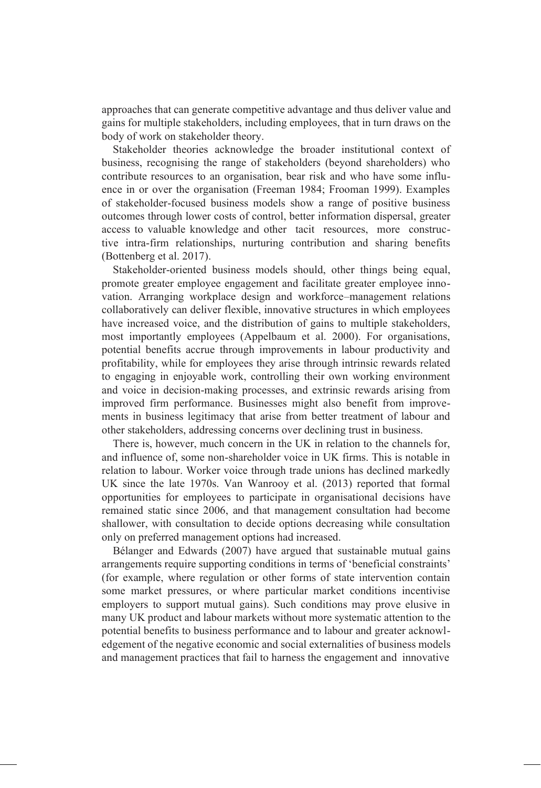approaches that can generate competitive advantage and thus deliver value and gains for multiple stakeholders, including employees, that in turn draws on the body of work on stakeholder theory.

Stakeholder theories acknowledge the broader institutional context of business, recognising the range of stakeholders (beyond shareholders) who contribute resources to an organisation, bear risk and who have some influence in or over the organisation (Freeman 1984; Frooman 1999). Examples of stakeholder-focused business models show a range of positive business outcomes through lower costs of control, better information dispersal, greater access to valuable knowledge and other tacit resources, more constructive intra-firm relationships, nurturing contribution and sharing benefits (Bottenberg et al. 2017).

Stakeholder-oriented business models should, other things being equal, promote greater employee engagement and facilitate greater employee innovation. Arranging workplace design and workforce–management relations collaboratively can deliver flexible, innovative structures in which employees have increased voice, and the distribution of gains to multiple stakeholders, most importantly employees (Appelbaum et al. 2000). For organisations, potential benefits accrue through improvements in labour productivity and profitability, while for employees they arise through intrinsic rewards related to engaging in enjoyable work, controlling their own working environment and voice in decision-making processes, and extrinsic rewards arising from improved firm performance. Businesses might also benefit from improvements in business legitimacy that arise from better treatment of labour and other stakeholders, addressing concerns over declining trust in business.

There is, however, much concern in the UK in relation to the channels for, and influence of, some non-shareholder voice in UK firms. This is notable in relation to labour. Worker voice through trade unions has declined markedly UK since the late 1970s. Van Wanrooy et al. (2013) reported that formal opportunities for employees to participate in organisational decisions have remained static since 2006, and that management consultation had become shallower, with consultation to decide options decreasing while consultation only on preferred management options had increased.

Bélanger and Edwards (2007) have argued that sustainable mutual gains arrangements require supporting conditions in terms of 'beneficial constraints' (for example, where regulation or other forms of state intervention contain some market pressures, or where particular market conditions incentivise employers to support mutual gains). Such conditions may prove elusive in many UK product and labour markets without more systematic attention to the potential benefits to business performance and to labour and greater acknowledgement of the negative economic and social externalities of business models and management practices that fail to harness the engagement and innovative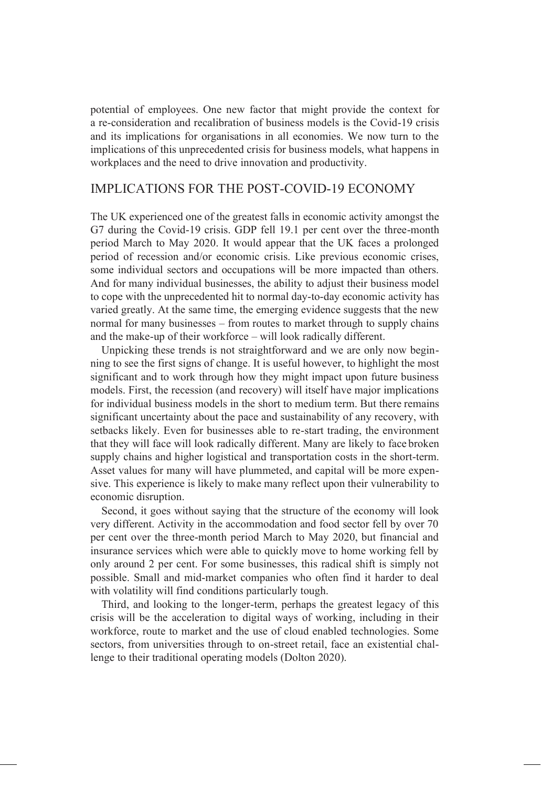potential of employees. One new factor that might provide the context for a re-consideration and recalibration of business models is the Covid-19 crisis and its implications for organisations in all economies. We now turn to the implications of this unprecedented crisis for business models, what happens in workplaces and the need to drive innovation and productivity.

## IMPLICATIONS FOR THE POST-COVID-19 ECONOMY

The UK experienced one of the greatest falls in economic activity amongst the G7 during the Covid-19 crisis. GDP fell 19.1 per cent over the three-month period March to May 2020. It would appear that the UK faces a prolonged period of recession and/or economic crisis. Like previous economic crises, some individual sectors and occupations will be more impacted than others. And for many individual businesses, the ability to adjust their business model to cope with the unprecedented hit to normal day-to-day economic activity has varied greatly. At the same time, the emerging evidence suggests that the new normal for many businesses – from routes to market through to supply chains and the make-up of their workforce – will look radically different.

Unpicking these trends is not straightforward and we are only now beginning to see the first signs of change. It is useful however, to highlight the most significant and to work through how they might impact upon future business models. First, the recession (and recovery) will itself have major implications for individual business models in the short to medium term. But there remains significant uncertainty about the pace and sustainability of any recovery, with setbacks likely. Even for businesses able to re-start trading, the environment that they will face will look radically different. Many are likely to face broken supply chains and higher logistical and transportation costs in the short-term. Asset values for many will have plummeted, and capital will be more expensive. This experience is likely to make many reflect upon their vulnerability to economic disruption.

Second, it goes without saying that the structure of the economy will look very different. Activity in the accommodation and food sector fell by over 70 per cent over the three-month period March to May 2020, but financial and insurance services which were able to quickly move to home working fell by only around 2 per cent. For some businesses, this radical shift is simply not possible. Small and mid-market companies who often find it harder to deal with volatility will find conditions particularly tough.

Third, and looking to the longer-term, perhaps the greatest legacy of this crisis will be the acceleration to digital ways of working, including in their workforce, route to market and the use of cloud enabled technologies. Some sectors, from universities through to on-street retail, face an existential challenge to their traditional operating models (Dolton 2020).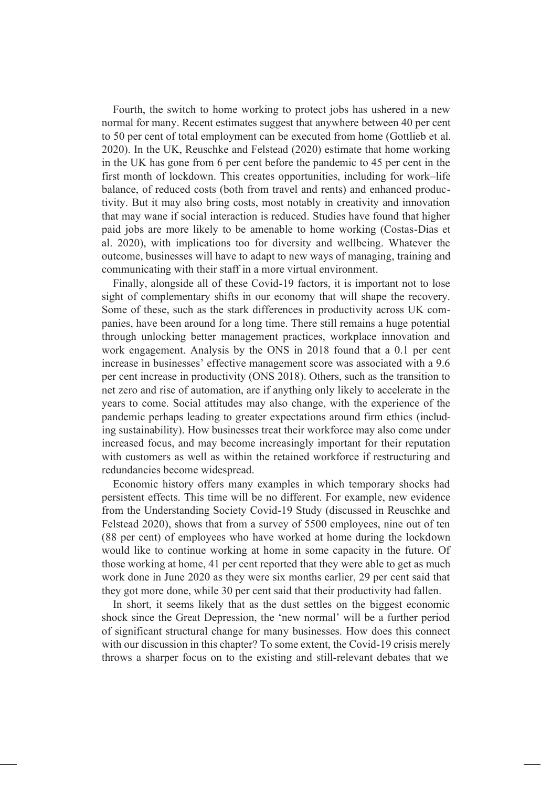Fourth, the switch to home working to protect jobs has ushered in a new normal for many. Recent estimates suggest that anywhere between 40 per cent to 50 per cent of total employment can be executed from home (Gottlieb et al. 2020). In the UK, Reuschke and Felstead (2020) estimate that home working in the UK has gone from 6 per cent before the pandemic to 45 per cent in the first month of lockdown. This creates opportunities, including for work–life balance, of reduced costs (both from travel and rents) and enhanced productivity. But it may also bring costs, most notably in creativity and innovation that may wane if social interaction is reduced. Studies have found that higher paid jobs are more likely to be amenable to home working (Costas-Dias et al. 2020), with implications too for diversity and wellbeing. Whatever the outcome, businesses will have to adapt to new ways of managing, training and communicating with their staff in a more virtual environment.

Finally, alongside all of these Covid-19 factors, it is important not to lose sight of complementary shifts in our economy that will shape the recovery. Some of these, such as the stark differences in productivity across UK companies, have been around for a long time. There still remains a huge potential through unlocking better management practices, workplace innovation and work engagement. Analysis by the ONS in 2018 found that a 0.1 per cent increase in businesses' effective management score was associated with a 9.6 per cent increase in productivity (ONS 2018). Others, such as the transition to net zero and rise of automation, are if anything only likely to accelerate in the years to come. Social attitudes may also change, with the experience of the pandemic perhaps leading to greater expectations around firm ethics (including sustainability). How businesses treat their workforce may also come under increased focus, and may become increasingly important for their reputation with customers as well as within the retained workforce if restructuring and redundancies become widespread.

Economic history offers many examples in which temporary shocks had persistent effects. This time will be no different. For example, new evidence from the Understanding Society Covid-19 Study (discussed in Reuschke and Felstead 2020), shows that from a survey of 5500 employees, nine out of ten (88 per cent) of employees who have worked at home during the lockdown would like to continue working at home in some capacity in the future. Of those working at home, 41 per cent reported that they were able to get as much work done in June 2020 as they were six months earlier, 29 per cent said that they got more done, while 30 per cent said that their productivity had fallen.

In short, it seems likely that as the dust settles on the biggest economic shock since the Great Depression, the 'new normal' will be a further period of significant structural change for many businesses. How does this connect with our discussion in this chapter? To some extent, the Covid-19 crisis merely throws a sharper focus on to the existing and still-relevant debates that we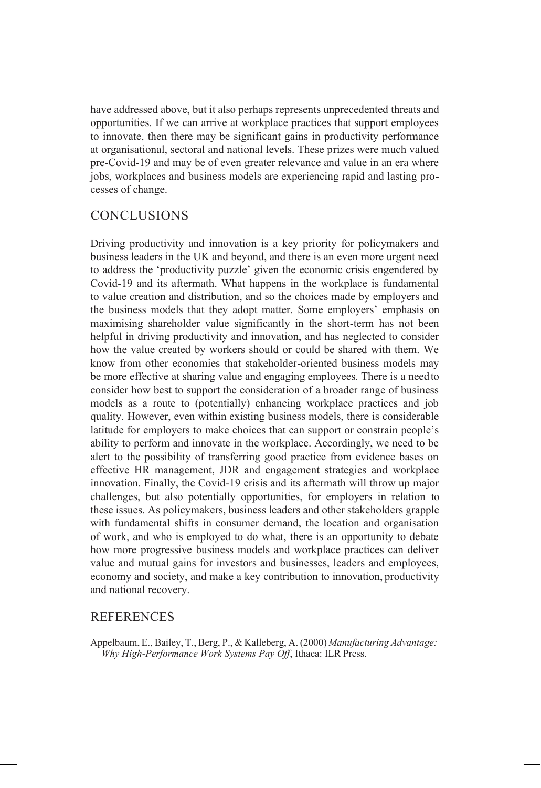have addressed above, but it also perhaps represents unprecedented threats and opportunities. If we can arrive at workplace practices that support employees to innovate, then there may be significant gains in productivity performance at organisational, sectoral and national levels. These prizes were much valued pre-Covid-19 and may be of even greater relevance and value in an era where jobs, workplaces and business models are experiencing rapid and lasting processes of change.

# CONCLUSIONS

Driving productivity and innovation is a key priority for policymakers and business leaders in the UK and beyond, and there is an even more urgent need to address the 'productivity puzzle' given the economic crisis engendered by Covid-19 and its aftermath. What happens in the workplace is fundamental to value creation and distribution, and so the choices made by employers and the business models that they adopt matter. Some employers' emphasis on maximising shareholder value significantly in the short-term has not been helpful in driving productivity and innovation, and has neglected to consider how the value created by workers should or could be shared with them. We know from other economies that stakeholder-oriented business models may be more effective at sharing value and engaging employees. There is a needto consider how best to support the consideration of a broader range of business models as a route to (potentially) enhancing workplace practices and job quality. However, even within existing business models, there is considerable latitude for employers to make choices that can support or constrain people's ability to perform and innovate in the workplace. Accordingly, we need to be alert to the possibility of transferring good practice from evidence bases on effective HR management, JDR and engagement strategies and workplace innovation. Finally, the Covid-19 crisis and its aftermath will throw up major challenges, but also potentially opportunities, for employers in relation to these issues. As policymakers, business leaders and other stakeholders grapple with fundamental shifts in consumer demand, the location and organisation of work, and who is employed to do what, there is an opportunity to debate how more progressive business models and workplace practices can deliver value and mutual gains for investors and businesses, leaders and employees, economy and society, and make a key contribution to innovation, productivity and national recovery.

# **REFERENCES**

Appelbaum, E., Bailey, T., Berg, P., & Kalleberg, A. (2000) *Manufacturing Advantage: Why High-Performance Work Systems Pay Off*, Ithaca: ILR Press.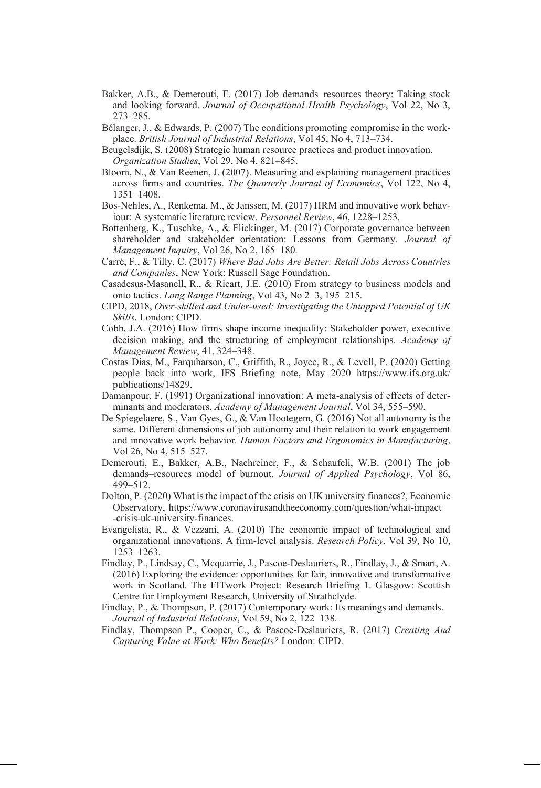- Bakker, A.B., & Demerouti, E. (2017) Job demands–resources theory: Taking stock and looking forward. *Journal of Occupational Health Psychology*, Vol 22, No 3, 273–285.
- Bélanger, J., & Edwards, P. (2007) The conditions promoting compromise in the workplace. *British Journal of Industrial Relations*, Vol 45, No 4, 713–734.
- Beugelsdijk, S. (2008) Strategic human resource practices and product innovation. *Organization Studies*, Vol 29, No 4, 821‒845.
- Bloom, N., & Van Reenen, J. (2007). Measuring and explaining management practices across firms and countries. *The Quarterly Journal of Economics*, Vol 122, No 4, 1351–1408.
- Bos-Nehles, A., Renkema, M., & Janssen, M. (2017) HRM and innovative work behaviour: A systematic literature review. *Personnel Review*, 46, 1228–1253.
- Bottenberg, K., Tuschke, A., & Flickinger, M. (2017) Corporate governance between shareholder and stakeholder orientation: Lessons from Germany. *Journal of Management Inquiry*, Vol 26, No 2, 165–180.
- Carré, F., & Tilly, C. (2017) *Where Bad Jobs Are Better: Retail Jobs AcrossCountries and Companies*, New York: Russell Sage Foundation.
- Casadesus-Masanell, R., & Ricart, J.E. (2010) From strategy to business models and onto tactics. *Long Range Planning*, Vol 43, No 2–3, 195–215.
- CIPD, 2018, *Over-skilled and Under-used: Investigating the Untapped Potential of UK Skills*, London: CIPD.
- Cobb, J.A. (2016) How firms shape income inequality: Stakeholder power, executive decision making, and the structuring of employment relationships. *Academy of Management Review*, 41, 324–348.
- Costas Dias, M., Farquharson, C., Griffith, R., Joyce, R., & Levell, P. (2020) Getting people back into work, IFS Briefing note, May 2020 https:/[/www.ifs.org.uk/](http://www.ifs.org.uk/) publications/14829.
- Damanpour, F. (1991) Organizational innovation: A meta-analysis of effects of determinants and moderators. *Academy of Management Journal*, Vol 34, 555–590.
- De Spiegelaere, S., Van Gyes, G., & Van Hootegem, G. (2016) Not all autonomy is the same. Different dimensions of job autonomy and their relation to work engagement and innovative work behavior*. Human Factors and Ergonomics in Manufacturing*, Vol 26, No 4, 515-527.
- Demerouti, E., Bakker, A.B., Nachreiner, F., & Schaufeli, W.B. (2001) The job demands–resources model of burnout. *Journal of Applied Psychology*, Vol 86, 499‒512.
- Dolton, P. (2020) What is the impact of the crisis on UK university finances?, Economic Observatory, https:/[/www.coronavirusandtheeconomy.com/question/what-impact](http://www.coronavirusandtheeconomy.com/question/what-impact) -crisis-uk-university-finances.
- Evangelista, R., & Vezzani, A. (2010) The economic impact of technological and organizational innovations. A firm-level analysis. *Research Policy*, Vol 39, No 10, 1253–1263.
- Findlay, P., Lindsay, C., Mcquarrie, J., Pascoe-Deslauriers, R., Findlay, J., & Smart, A. (2016) Exploring the evidence: opportunities for fair, innovative and transformative work in Scotland. The FITwork Project: Research Briefing 1. Glasgow: Scottish Centre for Employment Research, University of Strathclyde.
- Findlay, P., & Thompson, P. (2017) Contemporary work: Its meanings and demands. *Journal of Industrial Relations*, Vol 59, No 2, 122–138.
- Findlay, Thompson P., Cooper, C., & Pascoe-Deslauriers, R. (2017) *Creating And Capturing Value at Work: Who Benefits?* London: CIPD.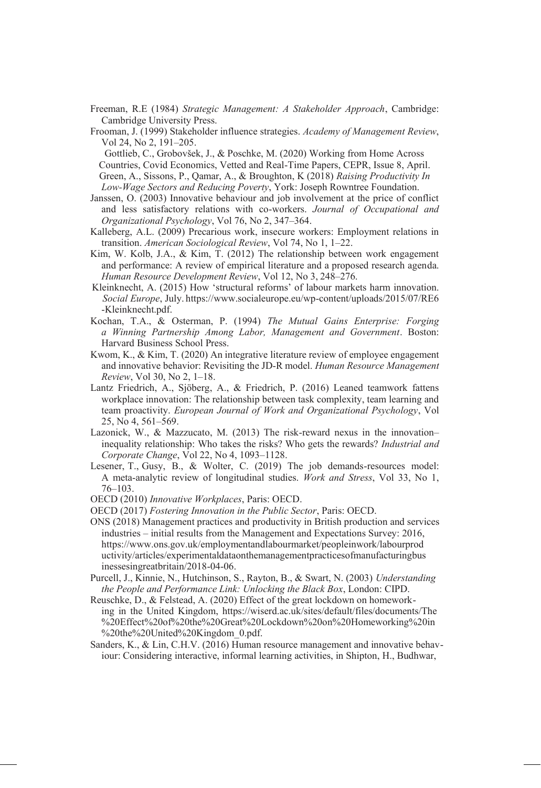- Freeman, R.E (1984) *Strategic Management: A Stakeholder Approach*, Cambridge: Cambridge University Press.
- Frooman, J. (1999) Stakeholder influence strategies. *Academy of Management Review*, Vol 24, No 2, 191–205.

Gottlieb, C., Grobovšek, J., & Poschke, M. (2020) Working from Home Across Countries, Covid Economics, Vetted and Real-Time Papers, CEPR, Issue 8, April. Green, A., Sissons, P., Qamar, A., & Broughton, K (2018) *Raising Productivity In Low-Wage Sectors and Reducing Poverty*, York: Joseph Rowntree Foundation.

- Janssen, O. (2003) Innovative behaviour and job involvement at the price of conflict and less satisfactory relations with co-workers. *Journal of Occupational and Organizational Psychology*, Vol 76, No 2, 347‒364.
- Kalleberg, A.L. (2009) Precarious work, insecure workers: Employment relations in transition. *American Sociological Review*, Vol 74, No 1, 1–22.
- Kim, W. Kolb, J.A., & Kim, T. (2012) The relationship between work engagement and performance: A review of empirical literature and a proposed research agenda. *Human Resource Development Review, Vol 12, No 3, 248-276.*
- Kleinknecht, A. (2015) How 'structural reforms' of labour markets harm innovation. *Social Europe*, July. https:[//www.socialeurope.eu/wp-content/uploads/2015/07/RE6](http://www.socialeurope.eu/wp-content/uploads/2015/07/RE6) -Kleinknecht.pdf.
- Kochan, T.A., & Osterman, P. (1994) *The Mutual Gains Enterprise: Forging a Winning Partnership Among Labor, Management and Government*. Boston: Harvard Business School Press.
- Kwom, K., & Kim, T. (2020) An integrative literature review of employee engagement and innovative behavior: Revisiting the JD-R model. *Human Resource Management Review*, Vol 30, No 2, 1‒18.
- Lantz Friedrich, A., Sjöberg, A., & Friedrich, P. (2016) Leaned teamwork fattens workplace innovation: The relationship between task complexity, team learning and team proactivity. *European Journal of Work and Organizational Psychology*, Vol  $25, \overline{No}$  4,  $561 - 569$ .
- Lazonick, W., & Mazzucato, M. (2013) The risk-reward nexus in the innovation– inequality relationship: Who takes the risks? Who gets the rewards? *Industrial and Corporate Change*, Vol 22, No 4, 1093–1128.
- Lesener, T., Gusy, B., & Wolter, C. (2019) The job demands-resources model: A meta-analytic review of longitudinal studies. *Work and Stress*, Vol 33, No 1, 76‒103.
- OECD (2010) *Innovative Workplaces*, Paris: OECD.
- OECD (2017) *Fostering Innovation in the Public Sector*, Paris: OECD.
- ONS (2018) Management practices and productivity in British production and services industries – initial results from the Management and Expectations Survey: 2016, https[://www.ons.gov.uk/employmentandlabourmarket/peopleinwork/labourprod](http://www.ons.gov.uk/employmentandlabourmarket/peopleinwork/labourprod) uctivity/articles/experimentaldataonthemanagementpracticesofmanufacturingbus inessesingreatbritain/2018-04-06.
- Purcell, J., Kinnie, N., Hutchinson, S., Rayton, B., & Swart, N. (2003) *Understanding the People and Performance Link: Unlocking the Black Box*, London: CIPD.
- Reuschke, D., & Felstead, A. (2020) Effect of the great lockdown on homeworking in the United Kingdom, https://wiserd.ac.uk/sites/default/files/documents/The %20Effect%20of%20the%20Great%20Lockdown%20on%20Homeworking%20in %20the%20United%20Kingdom\_0.pdf.
- Sanders, K., & Lin, C.H.V. (2016) Human resource management and innovative behaviour: Considering interactive, informal learning activities, in Shipton, H., Budhwar,